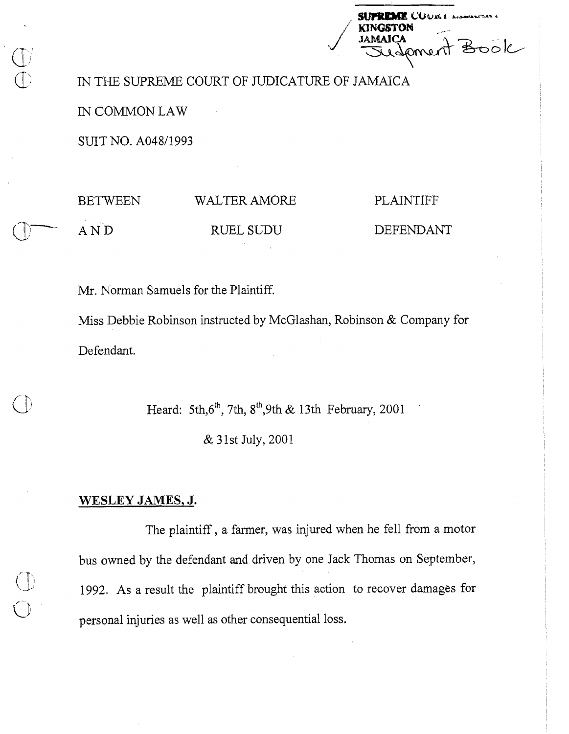| <b>SUPREME COURS ASSOCIATIONS</b> |
|-----------------------------------|
| <b>KINGSTON</b>                   |
| <b>JAMAICA</b>                    |
| sudement Book                     |
|                                   |

IN THE SUPREME COURT OF JUDICATURE OF JAMAICA

 $\overline{\phantom{a}}$ 

IN COMMON LAW

SUIT NO. A048/1993

BETWEEN WALTER AMORE

A N D RUEL SUDU

PLAINTIFF

DEFENDANT

Mr. Norman Samuels for the Plaintiff.

Miss Debbie Robinson instructed by McGlashan, Robinson & Company for Defendant.

Heard: 5th, $6^{th}$ , 7th,  $8^{th}$ , 9th & 13th February, 2001

& 31st July, 2001

## **WESLEY JAMES, J.**

The plaintiff, a farmer, was injured when he fell from a motor bus owned by the defendant and driven by one Jack Thomas on September, 1992. As a result the plaintiff brought this action to recover damages for personal injuries as well as other consequential loss.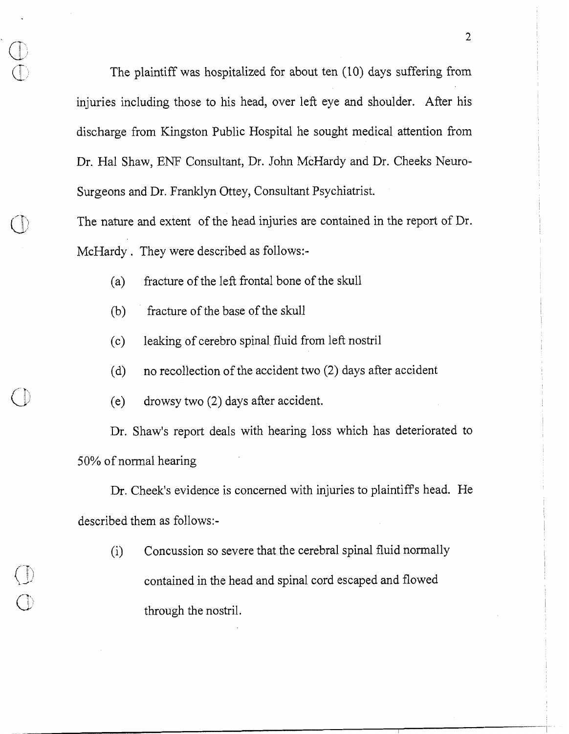The plaintiff was hospitalized for about ten (10) days suffering from injuries including those to his head, over left eye and shoulder. After his discharge from Kingston Public Hospital he sought medical attention from Dr. Hal Shaw, ENF Consultant, Dr. John McHardy and Dr. Cheeks Neuro-Surgeons and Dr. Franklyn Ottey, Consultant Psychiatrist.

The nature and extent of the head injuries are contained in the report of Dr. McHardy . They were described as follows:-

- (a) fracture of the left frontal bone of the skull
- (b) fracture of the base of the skull

 $\cup$ 

- (c) leaking of cerebro spinal fluid from left nostril
- (d) no recollection of the accident two (2) days after accident
- (e) drowsy two (2) days after accident.

Dr. Shaw's report deals with hearing loss which has deteriorated to 50% of nomal hearing

Dr. Cheek's evidence is concerned with injuries to plaintiffs head. He described them as follows:-

(i) Concussion so severe that the cerebral spinal fluid normally contained in the head and spinal cord escaped and flowed through the nostril.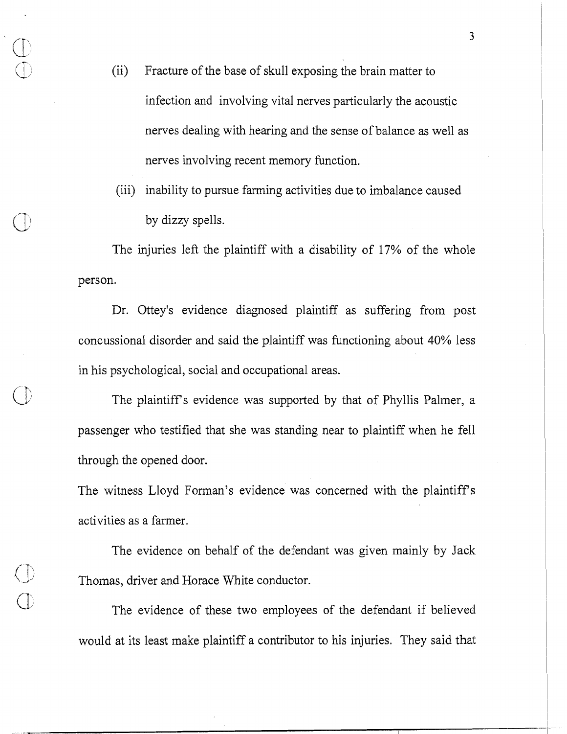- (ii) Fracture of the base of skull exposing the brain matter to infection and involving vital nerves particularly the acoustic nerves dealing with hearing and the sense of balance as well as nerves involving recent memory function.
- (iii) inability to pursue farming activities due to imbalance caused by dizzy spells.

The injuries left the plaintiff with a disability of 17% of the whole person.

Dr. Ottey's evidence diagnosed plaintiff as suffering from post concussional disorder and said the plaintiff was functioning about 40% less in his psychological, social and occupational areas.

The plaintiff's evidence was supported by that of Phyllis Palmer, a passenger who testified that she was standing near to plaintiff when he fell through the opened door.

The witness Lloyd Forman's evidence was concerned with the plaintiffs activities as a farmer.

The evidence on behalf of the defendant was given mainly by Jack Thomas, driver and Horace White conductor.

The evidence of these two employees of the defendant if believed would at its least make plaintiff a contributor to his injuries. They said that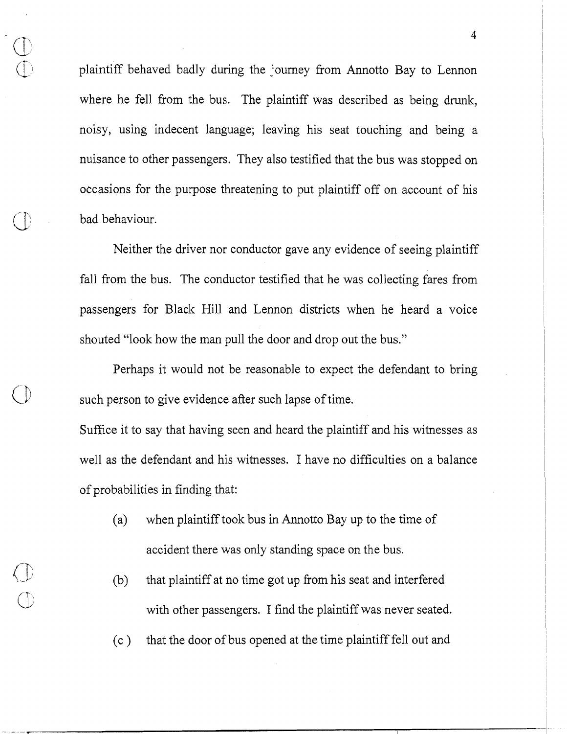plaintiff behaved badly during the journey from Annotto Bay to Lennon where he fell from the bus. The plaintiff was described as being drunk, noisy, using indecent language; leaving his seat touching and being a nuisance to other passengers. They also testified that the bus was stopped on occasions for the purpose threatening to put plaintiff off on account of his bad behaviour.

**7'** 

Neither the driver nor conductor gave any evidence of seeing plaintiff fall from the bus. The conductor testified that he was collecting fares from passengers for Black Hill and Lennon districts when he heard a voice shouted "look how the man pull the door and drop out the bus."

Perhaps it would not be reasonable to expect the defendant to bring such person to give evidence after such lapse of time.

Suffice it to say that having seen and heard the plaintiff and his witnesses as well as the defendant and his witnesses. I have no difficulties on a balance of probabilities in finding that:

- (a) when plaintiff took bus in Annotto Bay up to the time of accident there was only standing space on the bus.
- (b) that plaintiff at no time got up from his seat and interfered with other passengers. I find the plaintiff was never seated.
- (c ) that the door of bus opened at the time plaintiff fell out and

 $\overline{4}$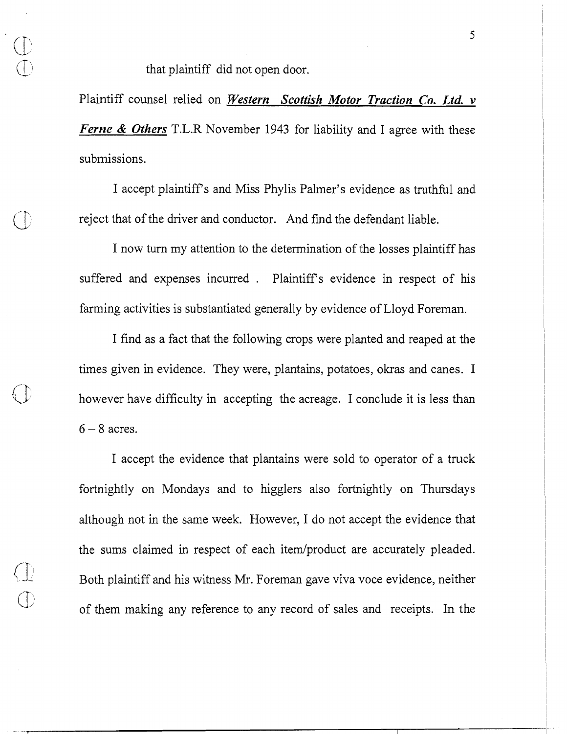that plaintiff did not open door.

Plaintiff counsel relied on *Western Scottish Motor Traction Co. Ltd. v Ferne* & *Others* T.L.R November *1943* for liability and I agree with these submissions.

I accept plaintiffs and Miss Phylis Palmer's evidence as truthful and reject that of the driver and conductor. And find the defendant liable.

I now turn my attention to the determination of the losses plaintiff has suffered and expenses incurred . Plaintiff's evidence in respect of his farming activities is substantiated generally by evidence of Lloyd Foreman.

I find as a fact that the following crops were planted and reaped at the times given in evidence. They were, plantains, potatoes, okras and canes. I however have difficulty in accepting the acreage. I conclude it is less than  $6 - 8$  acres.

I accept the evidence that'plantains were sold to operator of a truck fortnightly on Mondays and to higglers also fortnightly on Thursdays although not in the same week. However, I do not accept the evidence that the sums claimed in respect of each item/product are accurately pleaded. Both plaintiff and his witness Mr. Foreman gave viva voce evidence, neither of them making any reference to any record of sales and receipts. In the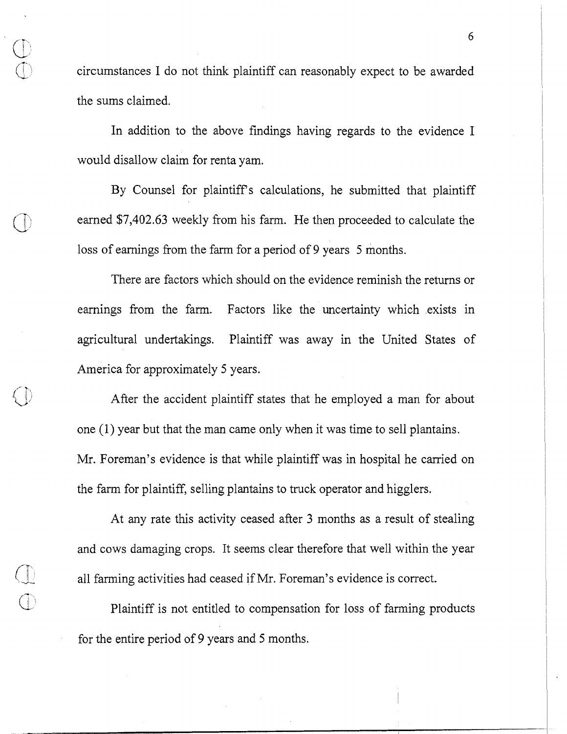circumstances I do not think plaintiff can reasonably expect to be awarded the sums claimed.

In addition to the above findings having regards to the evidence I would disallow claim for renta yam.

By Counsel for plaintiffs calculations, he submitted that plaintiff earned \$7,402.63 weekly from his farm. He then proceeded to calculate the loss of earnings fiom the farm for a period of 9 years 5 months.

There are factors which should on the evidence reminish the returns or earnings from the farm. Factors like the uncertainty which exists in agricultural undertakings. Plaintiff was away in the United States of America for approximately 5 years.

After the accident plaintiff states that he employed a man for about one (1) year but that the man came only when it was time to sell plantains. Mr. Foreman's evidence is that while plaintiff was in hospital he carried on the farm for plaintiff, selling plantains to truck operator and higglers.

At any rate this activity ceased after 3 months as a result of stealing and cows damaging crops. It seems clear therefore that well within the year all farming activities had ceased if Mr. Foreman's evidence is correct.

Plaintiff is not entitled to compensation for loss of farming products for the entire period of 9 years and 5 months.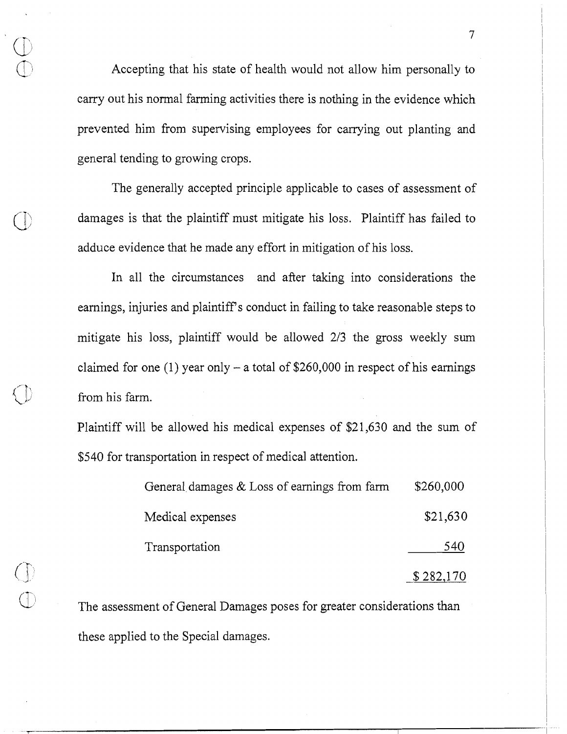Accepting that his state of health would not allow him personally to carry out his normal farming activities there is nothing in the evidence which prevented him from supervising employees for carrying out planting and general tending to growing crops.

The generally accepted principle applicable to cases of assessment of damages is that the plaintiff must mitigate his loss. Plaintiff has failed to adduce evidence that he made any effort in mitigation of his loss.

In all the circumstances and after taking into considerations the earnings, injuries and plaintiff's conduct in failing to take reasonable steps to mitigate his loss, plaintiff would be allowed 213 the gross weekly sum claimed for one (1) year only – a total of  $$260,000$  in respect of his earnings from his farm.

Plaintiff will be allowed his medical expenses of \$21,630 and the sum of \$540 for transportation in respect of medical attention.

| General damages $&$ Loss of earnings from farm | \$260,000 |
|------------------------------------------------|-----------|
| Medical expenses                               | \$21,630  |
| Transportation                                 | 540       |
|                                                | \$282,170 |

The assessment of General Damages poses for greater considerations than these applied to the Special damages.

 $\overline{7}$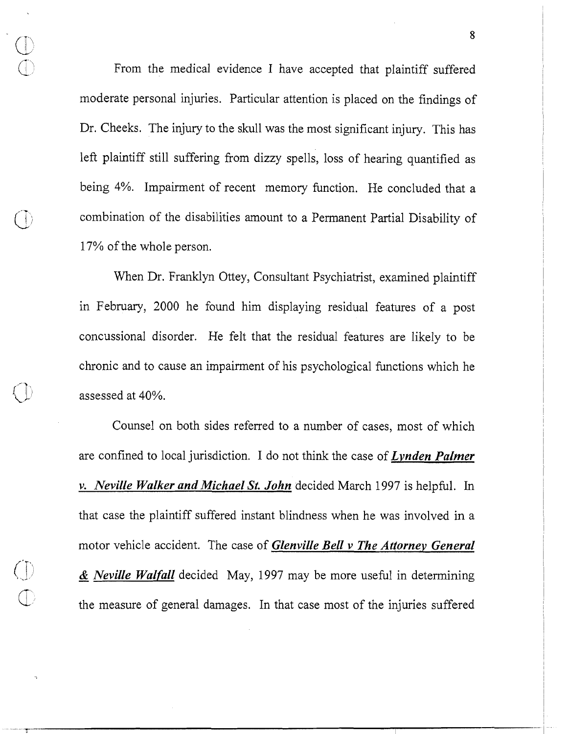From the medical evidence I have accepted that plaintiff suffered moderate personal injuries. Particular attention is placed on the findings of Dr. Cheeks. The injury to the skull was the most significant injury. This has left plaintiff still suffering from dizzy spells, loss of hearing quantified as being 4%. Impairment of recent memory function. He concluded that a combination of the disabilities amount to a Permanent Partial Disability of 17% of the whole person.

When Dr. Franklyn Ottey, Consultant Psychiatrist, examined plaintiff in February, 2000 he found him displaying residual features of a post concussional disorder. He felt that the residual features are likely to be chronic and to cause an impairment of his psychological functions which he assessed at 40%.

Counsel on both sides referred to a number of cases, most of which are confined to local jurisdiction. I do not think the case of *Lvnden Palmer v. Neville Walker and Michael St. John* decided March 1997 is helpful. In that case the plaintiff suffered instant blindness when he was involved in a motor vehicle accident. The case of *Glenville Bell v The Attornev General*  )-.A - & *Neville Walfall* decided May, 1997 may be more useful in determining the measure of general damages. In that case most of the injuries suffered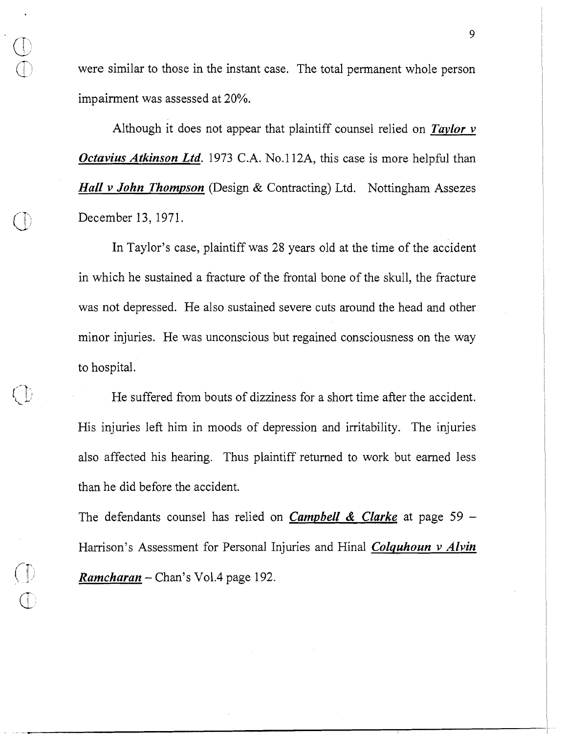were similar to those in the instant case. The total permanent whole person impairment was assessed at 20%.

Although it does not appear that plaintiff counsel relied on *Taylor v Octavius Atkinson Ltd.* 1973 C.A. No.112A, this case is more helpful than *Hall v John Thompson* (Design & Contracting) Ltd. Nottingham Assezes December 13, 1971.

In Taylor's case, plaintiff was 28 years old at the time of the accident in which he sustained a fracture of the frontal bone of the skull, the fiacture was not depressed. He also sustained severe cuts around the head and other minor injuries. He was unconscious but regained consciousness on the way to hospital.

He suffered from bouts of dizziness for a short time after the accident. His injuries left him in moods of depression and irritability. The injuries also affected his hearing. Thus plaintiff returned to work but earned less than he did before the accident.

The defendants counsel has relied on *Campbell & Clarke* at page 59 -Harrison's Assessment for Personal Injuries and Hinal *Colquhoun v Alvin* (\$ *Ramcharan* - Chan's Vo1.4 page 192.

 $\sqrt{ }$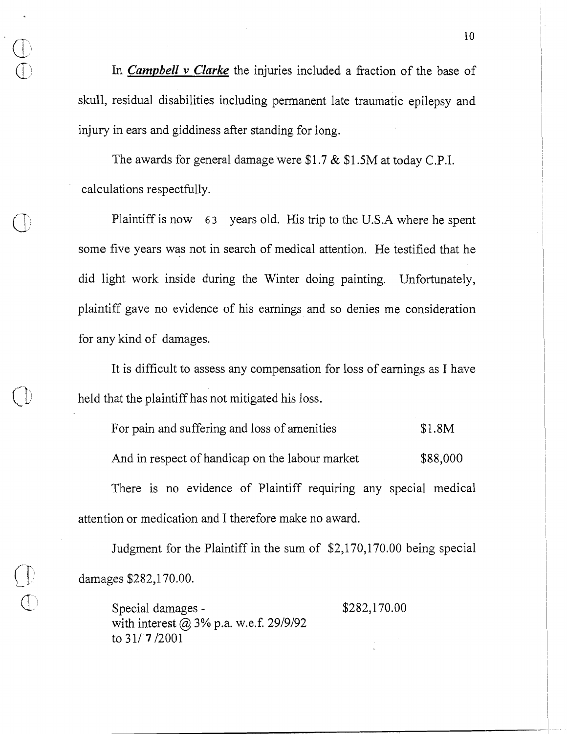In *Campbell* v *Clarke* the injuries included a fraction of the base of skull, residual disabilities including permanent late traumatic epilepsy and injury in ears and giddiness after standing for long.

The awards for general damage were \$1.7 & \$1.5M at today C.P.I. calculations respectfully.

Plaintiff is now 6 **3** years old. His trip to the **U.S.A** where he spent some five years was not in search of medical attention. He testified that he did light work inside during the Winter doing painting. Unfortunately, plaintiff gave no evidence of his earnings and so denies me consideration for any kind of damages.

It is difficult to assess any compensation for loss of earnings as I have held that the plaintiff has not mitigated his loss.

For pain and suffering and loss of amenities \$1.8M And in respect of handicap on the labour market \$88,000 There is no evidence of Plaintiff requiring any special medical attention or medication and I therefore make no award.

Judgment for the Plaintiff in the sum of \$2,170,170.00 being special damages \$282,170.00.

 $Special damages -$ <br>\$282,170.00 with interest @ **3%** p.a. w.e.f. 29/9/92 to 31/7/2001